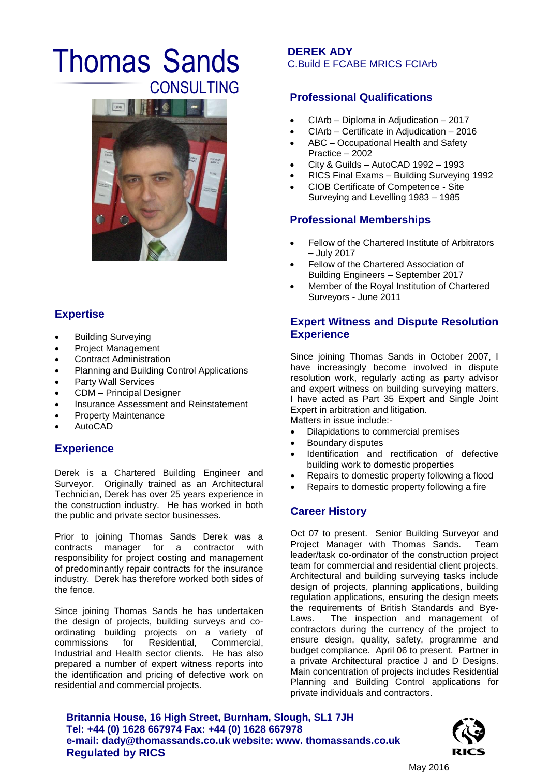# Thomas Sands CONSULTING **Professional Qualifications**



## **Expertise**

- Building Surveying
- Project Management
- Contract Administration
- Planning and Building Control Applications
- Party Wall Services
- CDM Principal Designer
- Insurance Assessment and Reinstatement
- Property Maintenance
- AutoCAD

#### **Experience**

Derek is a Chartered Building Engineer and Surveyor. Originally trained as an Architectural Technician, Derek has over 25 years experience in the construction industry. He has worked in both the public and private sector businesses.

Prior to joining Thomas Sands Derek was a contracts manager for a contractor with responsibility for project costing and management of predominantly repair contracts for the insurance industry. Derek has therefore worked both sides of the fence.

Since joining Thomas Sands he has undertaken the design of projects, building surveys and coordinating building projects on a variety of commissions for Residential, Commercial, Industrial and Health sector clients. He has also prepared a number of expert witness reports into the identification and pricing of defective work on residential and commercial projects.

#### **DEREK ADY** C.Build E FCABE MRICS FCIArb

- CIArb Diploma in Adjudication 2017
- CIArb Certificate in Adjudication 2016
- ABC Occupational Health and Safety Practice – 2002
- City & Guilds AutoCAD 1992 1993
- RICS Final Exams Building Surveying 1992
- CIOB Certificate of Competence Site Surveying and Levelling 1983 – 1985

### **Professional Memberships**

- Fellow of the Chartered Institute of Arbitrators – July 2017
- Fellow of the Chartered Association of Building Engineers – September 2017
- Member of the Royal Institution of Chartered Surveyors - June 2011

#### **Expert Witness and Dispute Resolution Experience**

Since joining Thomas Sands in October 2007, I have increasingly become involved in dispute resolution work, regularly acting as party advisor and expert witness on building surveying matters. I have acted as Part 35 Expert and Single Joint Expert in arbitration and litigation. Matters in issue include:-

- Dilapidations to commercial premises
- Boundary disputes
- Identification and rectification of defective
- building work to domestic properties
- Repairs to domestic property following a flood Repairs to domestic property following a fire

#### **Career History**

Oct 07 to present. Senior Building Surveyor and Project Manager with Thomas Sands. Team leader/task co-ordinator of the construction project team for commercial and residential client projects. Architectural and building surveying tasks include design of projects, planning applications, building regulation applications, ensuring the design meets the requirements of British Standards and Bye-Laws. The inspection and management of contractors during the currency of the project to ensure design, quality, safety, programme and budget compliance. April 06 to present. Partner in a private Architectural practice J and D Designs. Main concentration of projects includes Residential Planning and Building Control applications for private individuals and contractors.

**Britannia House, 16 High Street, Burnham, Slough, SL1 7JH Tel: +44 (0) 1628 667974 Fax: +44 (0) 1628 667978 e-mail: dady@thomassands.co.uk website: www. thomassands.co.uk Regulated by RICS**